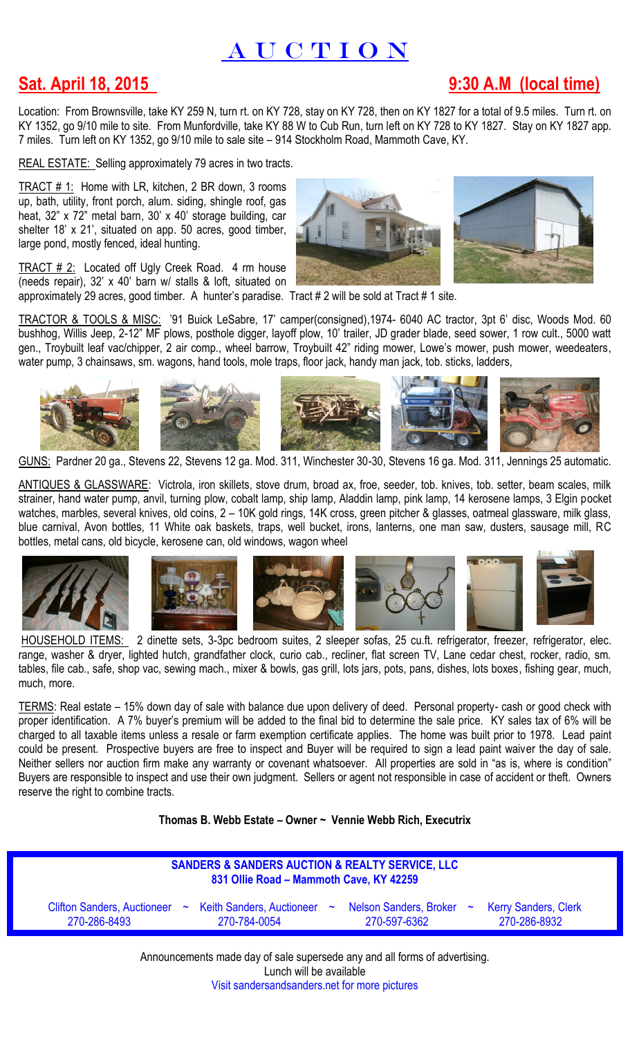## A U C T I O N

## **Sat. April 18, 2015 9:30 A.M (local time)**

Location: From Brownsville, take KY 259 N, turn rt. on KY 728, stay on KY 728, then on KY 1827 for a total of 9.5 miles. Turn rt. on KY 1352, go 9/10 mile to site. From Munfordville, take KY 88 W to Cub Run, turn left on KY 728 to KY 1827. Stay on KY 1827 app. 7 miles. Turn left on KY 1352, go 9/10 mile to sale site – 914 Stockholm Road, Mammoth Cave, KY.

REAL ESTATE:Selling approximately 79 acres in two tracts.

TRACT # 1: Home with LR, kitchen, 2 BR down, 3 rooms up, bath, utility, front porch, alum. siding, shingle roof, gas heat, 32" x 72" metal barn, 30' x 40' storage building, car shelter 18' x 21', situated on app. 50 acres, good timber, large pond, mostly fenced, ideal hunting.

 $TRACT # 2:$  Located off Ugly Creek Road. 4 rm house</u> (needs repair), 32' x 40' barn w/ stalls & loft, situated on



approximately 29 acres, good timber. A hunter's paradise. Tract # 2 will be sold at Tract # 1 site.

TRACTOR & TOOLS & MISC: '91 Buick LeSabre, 17' camper(consigned),1974- 6040 AC tractor, 3pt 6' disc, Woods Mod. 60 bushhog, Willis Jeep, 2-12" MF plows, posthole digger, layoff plow, 10' trailer, JD grader blade, seed sower, 1 row cult., 5000 watt gen., Troybuilt leaf vac/chipper, 2 air comp., wheel barrow, Troybuilt 42" riding mower, Lowe's mower, push mower, weedeaters, water pump, 3 chainsaws, sm. wagons, hand tools, mole traps, floor jack, handy man jack, tob. sticks, ladders,



GUNS: Pardner 20 ga., Stevens 22, Stevens 12 ga. Mod. 311, Winchester 30-30, Stevens 16 ga. Mod. 311, Jennings 25 automatic.

ANTIQUES & GLASSWARE: Victrola, iron skillets, stove drum, broad ax, froe, seeder, tob. knives, tob. setter, beam scales, milk strainer, hand water pump, anvil, turning plow, cobalt lamp, ship lamp, Aladdin lamp, pink lamp, 14 kerosene lamps, 3 Elgin pocket watches, marbles, several knives, old coins, 2 – 10K gold rings, 14K cross, green pitcher & glasses, oatmeal glassware, milk glass, blue carnival, Avon bottles, 11 White oak baskets, traps, well bucket, irons, lanterns, one man saw, dusters, sausage mill, RC bottles, metal cans, old bicycle, kerosene can, old windows, wagon wheel



HOUSEHOLD ITEMS: 2 dinette sets, 3-3pc bedroom suites, 2 sleeper sofas, 25 cu.ft. refrigerator, freezer, refrigerator, elec. range, washer & dryer, lighted hutch, grandfather clock, curio cab., recliner, flat screen TV, Lane cedar chest, rocker, radio, sm. tables, file cab., safe, shop vac, sewing mach., mixer & bowls, gas grill, lots jars, pots, pans, dishes, lots boxes, fishing gear, much, much, more.

TERMS: Real estate – 15% down day of sale with balance due upon delivery of deed. Personal property- cash or good check with proper identification. A 7% buyer's premium will be added to the final bid to determine the sale price. KY sales tax of 6% will be charged to all taxable items unless a resale or farm exemption certificate applies. The home was built prior to 1978. Lead paint could be present. Prospective buyers are free to inspect and Buyer will be required to sign a lead paint waiver the day of sale. Neither sellers nor auction firm make any warranty or covenant whatsoever. All properties are sold in "as is, where is condition" Buyers are responsible to inspect and use their own judgment. Sellers or agent not responsible in case of accident or theft. Owners reserve the right to combine tracts.

**Thomas B. Webb Estate – Owner ~ Vennie Webb Rich, Executrix**

| <b>SANDERS &amp; SANDERS AUCTION &amp; REALTY SERVICE, LLC</b><br>831 Ollie Road - Mammoth Cave, KY 42259 |                                                                                                    |              |                                             |
|-----------------------------------------------------------------------------------------------------------|----------------------------------------------------------------------------------------------------|--------------|---------------------------------------------|
| 270-286-8493                                                                                              | Clifton Sanders, Auctioneer ~ Keith Sanders, Auctioneer ~ Nelson Sanders, Broker ~<br>270-784-0054 | 270-597-6362 | <b>Kerry Sanders, Clerk</b><br>270-286-8932 |

Announcements made day of sale supersede any and all forms of advertising. Lunch will be available Visit sandersandsanders.net for more pictures